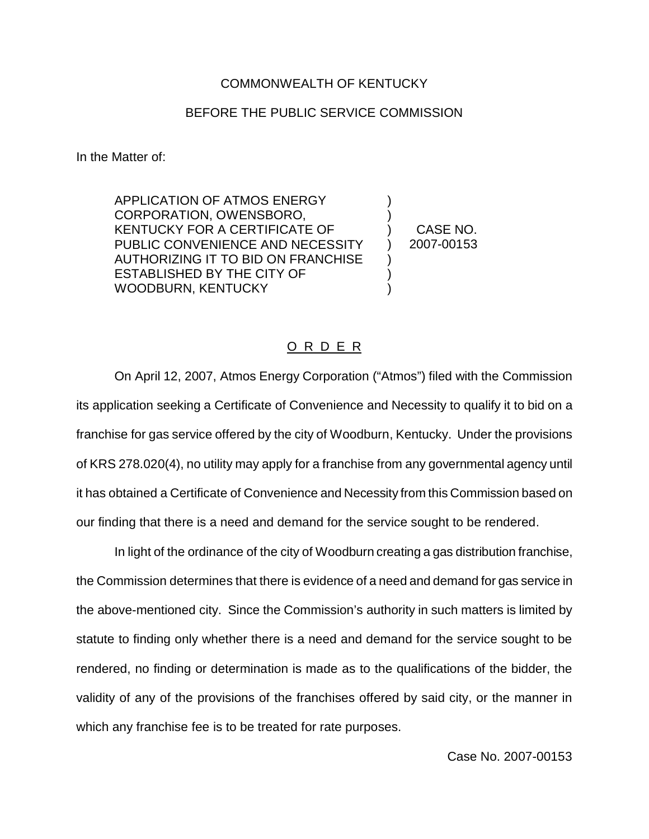## COMMONWEALTH OF KENTUCKY

## BEFORE THE PUBLIC SERVICE COMMISSION

In the Matter of:

APPLICATION OF ATMOS ENERGY CORPORATION, OWENSBORO, KENTUCKY FOR A CERTIFICATE OF PUBLIC CONVENIENCE AND NECESSITY AUTHORIZING IT TO BID ON FRANCHISE ESTABLISHED BY THE CITY OF WOODBURN, KENTUCKY

) CASE NO. ) 2007-00153

) )

) ) )

## O R D E R

On April 12, 2007, Atmos Energy Corporation ("Atmos") filed with the Commission its application seeking a Certificate of Convenience and Necessity to qualify it to bid on a franchise for gas service offered by the city of Woodburn, Kentucky. Under the provisions of KRS 278.020(4), no utility may apply for a franchise from any governmental agency until it has obtained a Certificate of Convenience and Necessity from this Commission based on our finding that there is a need and demand for the service sought to be rendered.

In light of the ordinance of the city of Woodburn creating a gas distribution franchise, the Commission determines that there is evidence of a need and demand for gas service in the above-mentioned city. Since the Commission's authority in such matters is limited by statute to finding only whether there is a need and demand for the service sought to be rendered, no finding or determination is made as to the qualifications of the bidder, the validity of any of the provisions of the franchises offered by said city, or the manner in which any franchise fee is to be treated for rate purposes.

Case No. 2007-00153